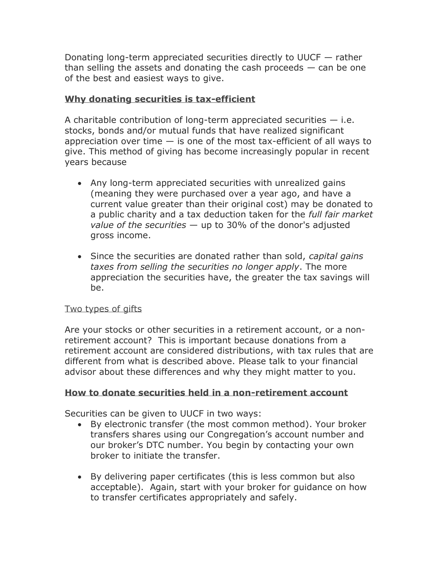Donating long-term appreciated securities directly to UUCF — rather than selling the assets and donating the cash proceeds  $-$  can be one of the best and easiest ways to give.

# **Why donating securities is tax-efficient**

A charitable contribution of long-term appreciated securities  $-$  i.e. stocks, bonds and/or mutual funds that have realized significant appreciation over time  $-$  is one of the most tax-efficient of all ways to give. This method of giving has become increasingly popular in recent years because

- Any long-term appreciated securities with unrealized gains (meaning they were purchased over a year ago, and have a current value greater than their original cost) may be donated to a public charity and a tax deduction taken for the *full fair market value of the securities* — up to 30% of the donor's adjusted gross income.
- Since the securities are donated rather than sold, *capital gains taxes from selling the securities no longer apply*. The more appreciation the securities have, the greater the tax savings will be.

# Two types of gifts

Are your stocks or other securities in a retirement account, or a nonretirement account? This is important because donations from a retirement account are considered distributions, with tax rules that are different from what is described above. Please talk to your financial advisor about these differences and why they might matter to you.

# **How to donate securities held in a non-retirement account**

Securities can be given to UUCF in two ways:

- By electronic transfer (the most common method). Your broker transfers shares using our Congregation's account number and our broker's DTC number. You begin by contacting your own broker to initiate the transfer.
- By delivering paper certificates (this is less common but also acceptable). Again, start with your broker for guidance on how to transfer certificates appropriately and safely.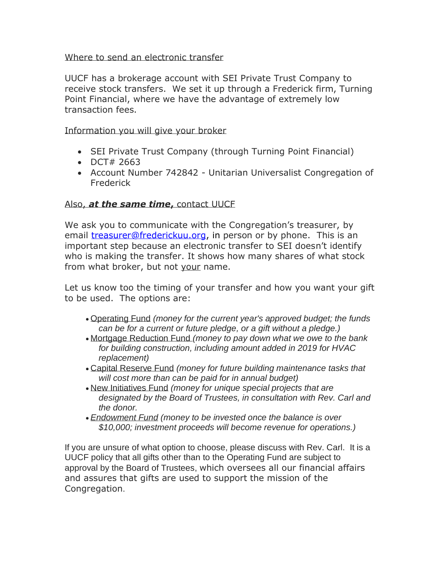# Where to send an electronic transfer

UUCF has a brokerage account with SEI Private Trust Company to receive stock transfers. We set it up through a Frederick firm, Turning Point Financial, where we have the advantage of extremely low transaction fees.

Information you will give your broker

- SEI Private Trust Company (through Turning Point Financial)
- DCT# 2663
- Account Number 742842 Unitarian Universalist Congregation of Frederick

# Also, *at the same time***,** contact UUCF

We ask you to communicate with the Congregation's treasurer, by email [treasurer@frederickuu.org,](mailto:treasurer@frederickuu.org) in person or by phone. This is an important step because an electronic transfer to SEI doesn't identify who is making the transfer. It shows how many shares of what stock from what broker, but not your name.

Let us know too the timing of your transfer and how you want your gift to be used. The options are:

- Operating Fund *(money for the current year's approved budget; the funds can be for a current or future pledge, or a gift without a pledge.)*
- Mortgage Reduction Fund *(money to pay down what we owe to the bank for building construction, including amount added in 2019 for HVAC replacement)*
- Capital Reserve Fund *(money for future building maintenance tasks that will cost more than can be paid for in annual budget)*
- New Initiatives Fund *(money for unique special projects that are designated by the Board of Trustees, in consultation with Rev. Carl and the donor.*
- *Endowment Fund (money to be invested once the balance is over \$10,000; investment proceeds will become revenue for operations.)*

If you are unsure of what option to choose, please discuss with Rev. Carl. It is a UUCF policy that all gifts other than to the Operating Fund are subject to approval by the Board of Trustees, which oversees all our financial affairs and assures that gifts are used to support the mission of the Congregation.